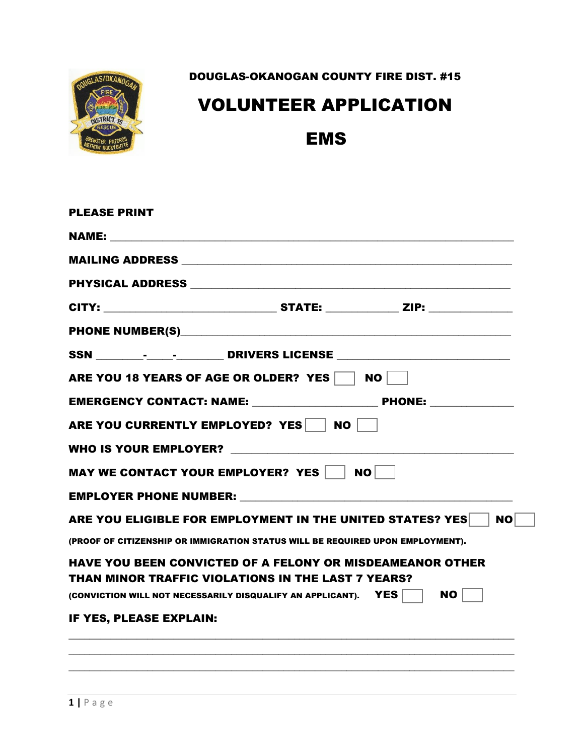

DOUGLAS-OKANOGAN COUNTY FIRE DIST. #15

## VOLUNTEER APPLICATION

## EMS

| <b>PLEASE PRINT</b>                                                                                                                                                                                                            |           |
|--------------------------------------------------------------------------------------------------------------------------------------------------------------------------------------------------------------------------------|-----------|
| NAME: The contract of the contract of the contract of the contract of the contract of the contract of the contract of the contract of the contract of the contract of the contract of the contract of the contract of the cont |           |
|                                                                                                                                                                                                                                |           |
|                                                                                                                                                                                                                                |           |
|                                                                                                                                                                                                                                |           |
|                                                                                                                                                                                                                                |           |
| SSN ____________________________DRIVERS LICENSE ________________________________                                                                                                                                               |           |
| ARE YOU 18 YEARS OF AGE OR OLDER? YES   NO                                                                                                                                                                                     |           |
|                                                                                                                                                                                                                                |           |
| ARE YOU CURRENTLY EMPLOYED? YES NO                                                                                                                                                                                             |           |
|                                                                                                                                                                                                                                |           |
| MAY WE CONTACT YOUR EMPLOYER? YES   NO                                                                                                                                                                                         |           |
|                                                                                                                                                                                                                                |           |
| ARE YOU ELIGIBLE FOR EMPLOYMENT IN THE UNITED STATES? YES                                                                                                                                                                      | <b>NO</b> |
| (PROOF OF CITIZENSHIP OR IMMIGRATION STATUS WILL BE REQUIRED UPON EMPLOYMENT).                                                                                                                                                 |           |
| <b>HAVE YOU BEEN CONVICTED OF A FELONY OR MISDEAMEANOR OTHER</b><br>THAN MINOR TRAFFIC VIOLATIONS IN THE LAST 7 YEARS?                                                                                                         |           |
| (CONVICTION WILL NOT NECESSARILY DISQUALIFY AN APPLICANT). $\angle \text{YES}$   NO                                                                                                                                            |           |
| IF YES, PLEASE EXPLAIN:                                                                                                                                                                                                        |           |
|                                                                                                                                                                                                                                |           |
|                                                                                                                                                                                                                                |           |
| $1   P \text{ a } g \text{ e}$                                                                                                                                                                                                 |           |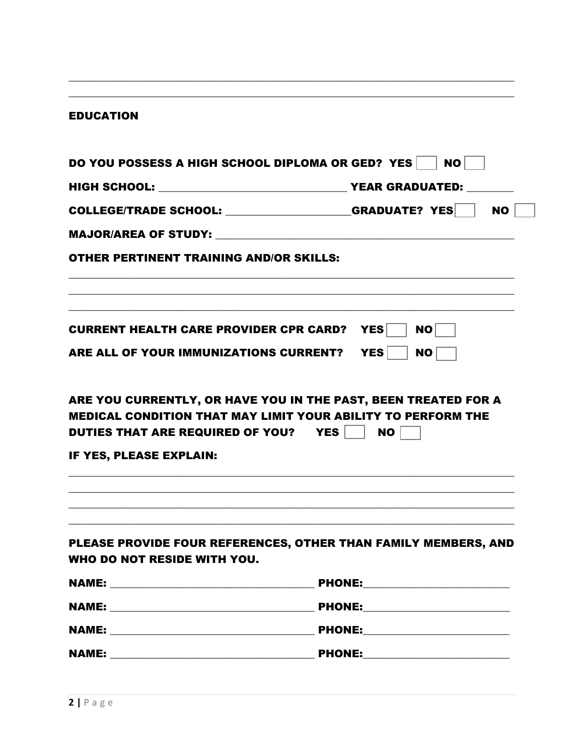| <b>EDUCATION</b>                                  |                                                                                                                                             |
|---------------------------------------------------|---------------------------------------------------------------------------------------------------------------------------------------------|
|                                                   | DO YOU POSSESS A HIGH SCHOOL DIPLOMA OR GED? YES<br><b>NO</b>                                                                               |
|                                                   |                                                                                                                                             |
|                                                   | COLLEGE/TRADE SCHOOL: __________________GRADUATE? YES<br><b>NO</b>                                                                          |
|                                                   |                                                                                                                                             |
| <b>OTHER PERTINENT TRAINING AND/OR SKILLS:</b>    |                                                                                                                                             |
| <b>CURRENT HEALTH CARE PROVIDER CPR CARD? YES</b> | <b>NO</b>                                                                                                                                   |
| ARE ALL OF YOUR IMMUNIZATIONS CURRENT? YES        | NO                                                                                                                                          |
| DUTIES THAT ARE REQUIRED OF YOU? YES              | ARE YOU CURRENTLY, OR HAVE YOU IN THE PAST, BEEN TREATED FOR A<br><b>MEDICAL CONDITION THAT MAY LIMIT YOUR ABILITY TO PERFORM THE</b><br>NO |
| IF YES, PLEASE EXPLAIN:                           |                                                                                                                                             |
| WHO DO NOT RESIDE WITH YOU.                       | PLEASE PROVIDE FOUR REFERENCES, OTHER THAN FAMILY MEMBERS, AND                                                                              |
|                                                   |                                                                                                                                             |
|                                                   |                                                                                                                                             |
|                                                   |                                                                                                                                             |